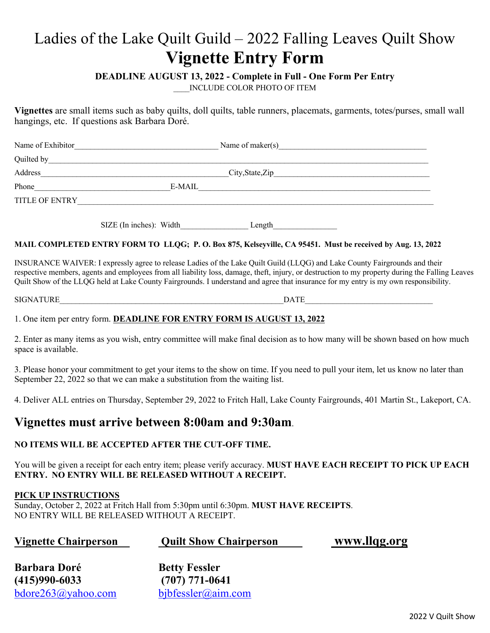# Ladies of the Lake Quilt Guild – 2022 Falling Leaves Quilt Show **Vignette Entry Form**

## **DEADLINE AUGUST 13, 2022 - Complete in Full - One Form Per Entry**

\_\_\_\_INCLUDE COLOR PHOTO OF ITEM

**Vignettes** are small items such as baby quilts, doll quilts, table runners, placemats, garments, totes/purses, small wall hangings, etc. If questions ask Barbara Doré.

| Name of Exhibitor | Name of maker $(s)$ |  |
|-------------------|---------------------|--|
| Quilted by        |                     |  |
| Address           |                     |  |
| Phone             | E-MAIL              |  |
| TITLE OF ENTRY    |                     |  |
|                   |                     |  |

SIZE (In inches): Width Length

#### **MAIL COMPLETED ENTRY FORM TO LLQG; P. O. Box 875, Kelseyville, CA 95451. Must be received by Aug. 13, 2022**

INSURANCE WAIVER: I expressly agree to release Ladies of the Lake Quilt Guild (LLQG) and Lake County Fairgrounds and their respective members, agents and employees from all liability loss, damage, theft, injury, or destruction to my property during the Falling Leaves Quilt Show of the LLQG held at Lake County Fairgrounds. I understand and agree that insurance for my entry is my own responsibility.

SIGNATURE THE DATE RESERVE OF A LIMIT CONTROL CONTROL OF A LIMIT CONTROL OF A LIMIT CONTROL OF A LIMIT CONTROL OF A LIMIT CONTROL OF A LIMIT CONTROL OF A LIMIT CONTROL OF A LIMIT CONTROL OF A LIMIT CONTROL OF A LIMIT CONTR

## 1. One item per entry form. **DEADLINE FOR ENTRY FORM IS AUGUST 13, 2022**

2. Enter as many items as you wish, entry committee will make final decision as to how many will be shown based on how much space is available.

3. Please honor your commitment to get your items to the show on time. If you need to pull your item, let us know no later than September 22, 2022 so that we can make a substitution from the waiting list.

4. Deliver ALL entries on Thursday, September 29, 2022 to Fritch Hall, Lake County Fairgrounds, 401 Martin St., Lakeport, CA.

# **Vignettes must arrive between 8:00am and 9:30am**.

#### **NO ITEMS WILL BE ACCEPTED AFTER THE CUT-OFF TIME.**

You will be given a receipt for each entry item; please verify accuracy. **MUST HAVE EACH RECEIPT TO PICK UP EACH ENTRY. NO ENTRY WILL BE RELEASED WITHOUT A RECEIPT.**

#### **PICK UP INSTRUCTIONS**

Sunday, October 2, 2022 at Fritch Hall from 5:30pm until 6:30pm. **MUST HAVE RECEIPTS**. NO ENTRY WILL BE RELEASED WITHOUT A RECEIPT.

| <b>Vignette Chairperson</b> | <b>Quilt Show Chairperson</b> | www.llqg.org |
|-----------------------------|-------------------------------|--------------|
|-----------------------------|-------------------------------|--------------|

| Barbara Doré                   | <b>Betty Fessler</b>  |
|--------------------------------|-----------------------|
| (415)990-6033                  | $(707)$ 771-0641      |
| $b\text{dore263}(a)$ yahoo.com | $b$ jbfessler@aim.com |